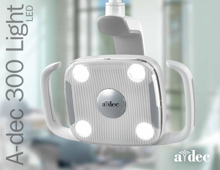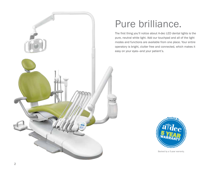

# Pure brilliance.

The first thing you'll notice about A-dec LED dental lights is the pure, neutral white light. Add our touchpad and all of the light modes and functions are available from one place. Your entire operatory is bright, clutter free and connected, which makes it easy on your eyes—and your patient's.



Backed by a 5-year warranty.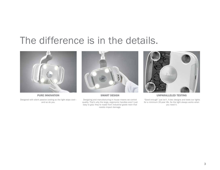# The difference is in the details.



PURE INNOVATION

Designed with silent passive cooling so the light stays cool and so do you.



SMART DESIGN

Designing and manufacturing in house means we control quality. That's why the large, ergonomic handles aren't just easy to grip: they're made from industrial grade resin that resists impact damage.



#### UNPARALLELED TESTING

"Good enough" just isn't. A-dec designs and tests our lights for a minimum 20-year life. So the light always works when you need it.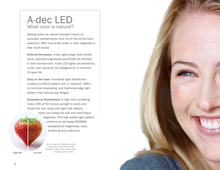## A-dec LED What color is natural?

Seeing colors as nature intended means an accurate representation and mix of the entire color spectrum. With true-to-life tones, a clear diagnosis is that much easier.

Solid performance. A-dec lights begin with proven parts, optically engineered specifically for dentists in their environment. A-dec LED lights are backed by a five–year warranty, but designed for a minimum 20-year life.

Easy on the eyes. Innovative light distribution creates a uniform pattern with a "stadium" effect to minimize shadowing, and feathered edge light pattern that reduces eye fatigue.

Exceptional illumination. A high color rendering index (CRI) of 94 mimics sunlight's clarity and floods the oral cavity with light that reflects colors accurately for soft and hard tissue

> diagnosis. This high-quality light pattern conforms to the latest ISO9680 standards for brightness, color, rendering and uniformity.

You can see the difference when compared to less refined LED operatory lights with a lower color **rendering index (CRI).** Low CRI rendering index (CRI).

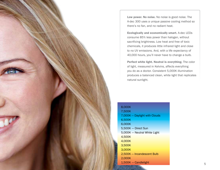Low power. No noise. No noise is good noise. The A-dec 300 uses a unique passive cooling method so there's no fan, and no radiant heat.

Ecologically and economically smart. A-dec LEDs consume 85% less power than halogen, without sacrificing brightness. Low heat and free of toxic chemicals, it produces little infrared light and close to no UV emissions. And, with a life expectancy of 40,000 hours, you'll never have to change a bulb.

Perfect white light. Neutral is everything. The color of light, measured in Kelvins, affects everything you do as a doctor. Consistent 5,000K illumination produces a balanced clean, white light that replicates natural sunlight.

| 8.000K                        |  |
|-------------------------------|--|
| 7,500K                        |  |
| 7,000K - Daylight with Clouds |  |
| 6,500K                        |  |
| 6,000K                        |  |
| 5,500K - Direct Sun           |  |
| 5,000K - Neutral White Light  |  |
| 4,500K                        |  |
| 4,000K                        |  |
| 3,500K                        |  |
| 3.000K                        |  |
| 2,500K - Incandescent Bulb    |  |
| 2,000K                        |  |
| 1,500K - Candlelight          |  |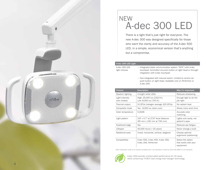

## A-dec 300 LED **NEW**

There is a light that's just right for everyone. The new A-dec 300 was designed specifically for those who want the clarity and accuracy of the A-dec 500 LED, in a simple, economical version that's anything but a compromise.

#### A-dec 300 LED Light

A-dec 300 LED light choices

— Integrated (data communication system "DCS") with A-dec touchpad. C*ontrolled via push button on light head or through integration with A-dec touchpad.* 

— Non-integrated with manual switch. *Limited to control via push button on light head. Available only on Performer or A-dec 200.*

| Feature                        | <b>Description</b>                                                | Why it's important                                     |
|--------------------------------|-------------------------------------------------------------------|--------------------------------------------------------|
| Stadium lighting               | 4 bright white LEDs                                               | Reduces shadowing                                      |
| Light intensity<br>(two modes) | High: 25,000 lux (2323 fc)<br>Low: 8,000 lux (743 fc)             | Enough light to do the<br>job right                    |
| Thermal output                 | 51 BTUs (halogen average 325 BTUs)                                | No radiant heat                                        |
| Composite mode                 | Yes - 8,000 lux (slow cure)                                       | Allows more work time                                  |
| Color temperature              | 5.000K                                                            | Accurate color<br>matching                             |
| Light pattern                  | 3.8" x 5.7" at 27.6" focal distance<br>(95 mm x 145 mm at 700 mm) | Lights oral cavity, not<br>patient's eyes              |
| Feathered edge                 | Yes                                                               | Reduces eye fatigue                                    |
| Lifespan                       | 40,000 hours (~20 years)                                          | Never change a bulb                                    |
| Rotational axes                | 3-axis: horizontal, vertical, diagonal                            | Choose optimal<br>ergonomic positioning                |
| Compatibility                  | A-dec 500, A-dec 400, A-dec 300,<br>A-dec 200, Performer          | Select the option<br>that works with your<br>equipment |

Note: Composite mode is an industry accepted term, not intended to meet the 2014 ISO 9680 5.2.10 standard.



A-dec LEDs provide uninterrupted performance for 20 years, while consuming 75-85% less energy than halogen technology.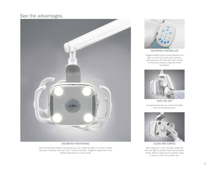### See the advantages.



#### UNLIMITED POSITIONING

540°of horizontal rotation mean that you can rotate the light 1½ times in either direction. Combine that with 120° head tilt and 80° diagonal adjustment, and perfect placement is a sure thing.



TOUCHPAD CONTROLLED

Programmable buttons automatically turn light on when the chair back reclines, and powers it off when the chair moves to entry/exit position *(requires A-dec touchpad)*.



A simple bump lets you control the light, even during procedures.



CLEAN AND SIMPLE

With asepsis in mind, the light shield fits flat and tight to prevent dust accumulation inside. Barrier ready touch surfaces make it easy to clean the outside, too.